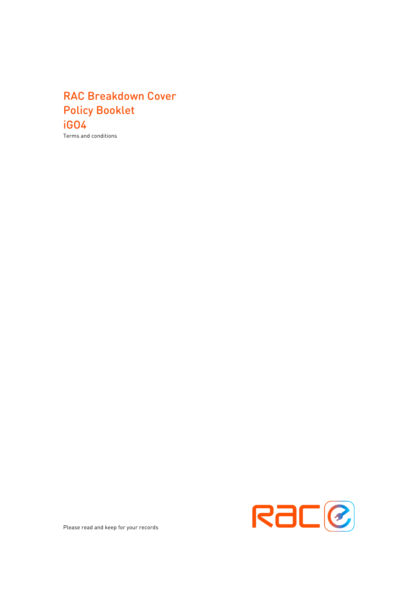# RAC Breakdown Cover Policy Booklet iGO4

Terms and conditions



Please read and keep for your records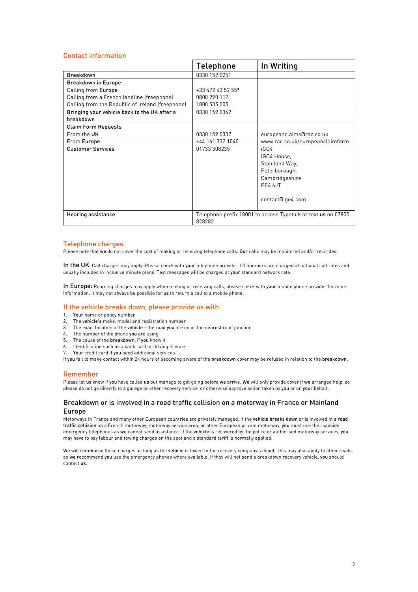# Contact information

|                                                  | Telephone                                                     | In Writing                      |
|--------------------------------------------------|---------------------------------------------------------------|---------------------------------|
| <b>Breakdown</b>                                 | 0330 159 0251                                                 |                                 |
| <b>Breakdown in Europe</b>                       |                                                               |                                 |
| Calling from Europe                              | +33 472 43 52 55*                                             |                                 |
| Calling from a French landline (freephone)       | 0800 290 112                                                  |                                 |
| Calling from the Republic of Ireland (freephone) | 1800 535 005                                                  |                                 |
| Bringing your vehicle back to the UK after a     | 0330 159 0342                                                 |                                 |
| breakdown                                        |                                                               |                                 |
| <b>Claim Form Requests</b>                       |                                                               |                                 |
| From the UK                                      | 0330 159 0337                                                 | europeanclaims@rac.co.uk        |
| From Europe                                      | +44 161 332 1040                                              | www.rac.co.uk/europeanclaimform |
| <b>Customer Services</b>                         | 01733 308235                                                  | iGO4                            |
|                                                  |                                                               | IGO4 House,                     |
|                                                  |                                                               | Staniland Way,                  |
|                                                  |                                                               | Peterborough,                   |
|                                                  |                                                               | Cambridgeshire                  |
|                                                  |                                                               | PF4 6JT                         |
|                                                  |                                                               |                                 |
|                                                  |                                                               | contact@igo4.com                |
|                                                  |                                                               |                                 |
| Hearing assistance                               | Telephone prefix 18001 to access Typetalk or text us on 07855 |                                 |
|                                                  | 828282                                                        |                                 |

# Telephone charges

Please note that we do not cover the cost of making or receiving telephone calls. Our calls may be monitored and/or recorded.

In the UK: Call charges may apply. Please check with your telephone provider. 03 numbers are charged at national call rates and usually included in inclusive minute plans. Text messages will be charged at your standard network rate.

In Europe: Roaming charges may apply when making or receiving calls, please check with your mobile phone provider for more information. It may not always be possible for us to return a call to a mobile phone.

# If the vehicle breaks down, please provide us with

- 1. Your name or policy number
- 2. The vehicle's make, model and registration number
- 3. The exact location of the vehicle the road you are on or the nearest road junction
- 4. The number of the phone you are using
- 5. The cause of the breakdown, if you know it
- 6. Identification such as a bank card or driving licence
- Your credit card if you need additional services

If you fail to make contact within 24 hours of becoming aware of the breakdown cover may be refused in relation to the breakdown.

# Remember

Please let us know if you have called us but manage to get going before we arrive. We will only provide cover if we arranged help, so please do not go directly to a garage or other recovery service, or otherwise approve action taken by you or on your behalf.

# Breakdown or is involved in a road traffic collision on a motorway in France or Mainland Europe

Motorways in France and many other European countries are privately managed. If the vehicle breaks down or is involved in a road traffic collision on a French motorway, motorway service area, or other European private motorway, you must use the roadside emergency telephones as we cannot send assistance. If the vehicle is recovered by the police or authorised motorway services, you may have to pay labour and towing charges on the spot and a standard tariff is normally applied.

We will reimburse these charges as long as the vehicle is towed to the recovery company's depot. This may also apply to other roads, so we recommend you use the emergency phones where available. If they will not send a breakdown recovery vehicle, you should contact us.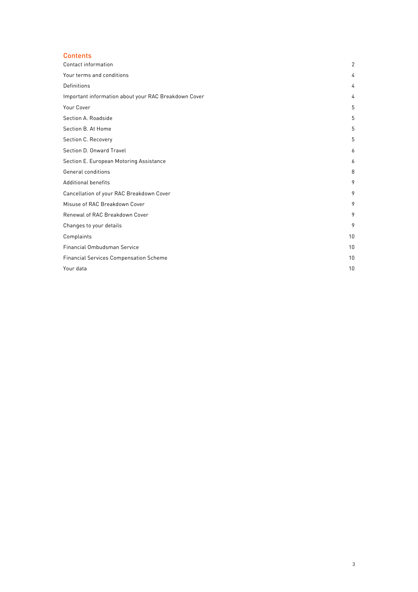# **Contents**

| Contact information                                  | 2  |
|------------------------------------------------------|----|
| Your terms and conditions                            | 4  |
| Definitions                                          | 4  |
| Important information about your RAC Breakdown Cover | 4  |
| Your Cover                                           | 5  |
| Section A. Roadside                                  | 5  |
| Section B. At Home                                   | 5  |
| Section C. Recovery                                  | 5  |
| Section D. Onward Travel                             | 6  |
| Section E. European Motoring Assistance              | 6  |
| General conditions                                   | 8  |
| <b>Additional benefits</b>                           | 9  |
| Cancellation of your RAC Breakdown Cover             | 9  |
| Misuse of RAC Breakdown Cover                        | 9  |
| Renewal of RAC Breakdown Cover                       | 9  |
| Changes to your details                              | 9  |
| Complaints                                           | 10 |
| Financial Ombudsman Service                          | 10 |
| <b>Financial Services Compensation Scheme</b>        | 10 |
| Your data                                            | 10 |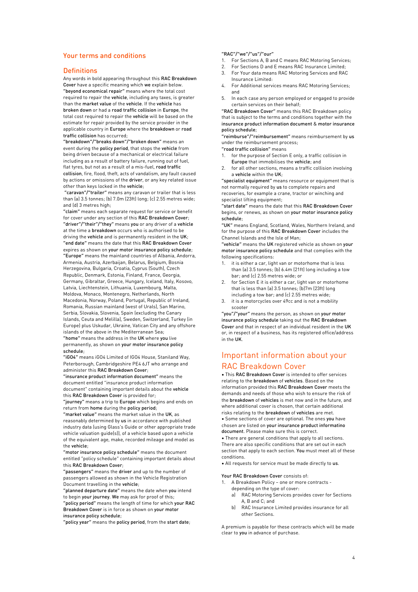# Your terms and conditions

### **Definitions**

Any words in bold appearing throughout this RAC Breakdown Cover have a specific meaning which we explain below. "beyond economical repair" means where the total cost required to repair the vehicle, including any taxes, is greater than the market value of the vehicle. If the vehicle has broken down or had a road traffic collision in Europe, the total cost required to repair the vehicle will be based on the estimate for repair provided by the service provider in the applicable country in Europe where the breakdown or road traffic collision has occurred;

"breakdown"/"breaks down"/"broken down" means an event during the policy period, that stops the vehicle from being driven because of a mechanical or electrical failure including as a result of battery failure, running out of fuel, flat tyres, but not as a result of a mis-fuel, road traffic collision, fire, flood, theft, acts of vandalism, any fault caused by actions or omissions of the driver, or any key related issue other than keys locked in the vehicle;

"caravan"/"trailer" means any caravan or trailer that is less than (a) 3.5 tonnes; (b) 7.0m (23ft) long; (c) 2.55 metres wide; and (d) 3 metres high;

"claim" means each separate request for service or benefit for cover under any section of this RAC Breakdown Cover; "driver"/"their"/"they" means you or any driver of a vehicle at the time a breakdown occurs who is authorised to be driving the vehicle and is permanently resident in the UK; "end date" means the date that this RAC Breakdown Cover expires as shown on your motor insurance policy schedule; "Europe" means the mainland countries of Albania, Andorra, Armenia, Austria, Azerbaijan, Belarus, Belgium, Bosnia Herzegovina, Bulgaria, Croatia, Cyprus (South), Czech Republic, Denmark, Estonia, Finland, France, Georgia, Germany, Gibraltar, Greece, Hungary, Iceland, Italy, Kosovo, Latvia, Liechtenstein, Lithuania, Luxembourg, Malta, Moldova, Monaco, Montenegro, Netherlands, North Macedonia, Norway, Poland, Portugal, Republic of Ireland, Romania, Russian mainland (west of Urals), San Marino, Serbia, Slovakia, Slovenia, Spain (excluding the Canary Islands, Ceuta and Melilla), Sweden, Switzerland, Turkey (in Europe) plus Uskudar, Ukraine, Vatican City and any offshore islands of the above in the Mediterranean Sea; "home" means the address in the UK where you live permanently, as shown on your motor insurance policy schedule;

"iGO4" means iGO4 Limited of IGO4 House, Staniland Way, Peterborough, Cambridgeshire PE4 6JT who arrange and administer this RAC Breakdown Cover;

"insurance product information document" means the document entitled "insurance product information document" containing important details about the vehicle this RAC Breakdown Cover is provided for;

"journey" means a trip to Europe which begins and ends on return from home during the policy period;

"market value" means the market value in the UK, as reasonably determined by us in accordance with published industry data (using Glass's Guide or other appropriate trade vehicle valuation guide(s)), of a vehicle based upon a vehicle of the equivalent age, make, recorded mileage and model as the vehicle;

"motor insurance policy schedule" means the document entitled "policy schedule" containing important details about this RAC Breakdown Cover;

"passengers" means the driver and up to the number of passengers allowed as shown in the Vehicle Registration Document travelling in the vehicle;

"planned departure date" means the date when you intend to begin your journey. We may ask for proof of this; "policy period" means the length of time for which your RAC Breakdown Cover is in force as shown on your motor insurance policy schedule;

"policy year" means the policy period, from the start date;

### "RAC"/"we"/"us"/"our"

- 1. For Sections A, B and C means RAC Motoring Services;
- 2. For Sections D and E means RAC Insurance Limited;
- 3. For Your data means RAC Motoring Services and RAC Insurance Limited:
- 4. For Additional services means RAC Motoring Services; and
- 5. In each case any person employed or engaged to provide certain services on their behalf;

"RAC Breakdown Cover" means this RAC Breakdown policy that is subject to the terms and conditions together with the insurance product information document & motor insurance policy schedule;

"reimburse"/"reimbursement" means reimbursement by us under the reimbursement process;

"road traffic collision" means

- 1. for the purpose of Section E only, a traffic collision in Europe that immobilises the vehicle; and
- 2. for all other sections, means a traffic collision involving a vehicle within the UK;

"specialist equipment" means resource or equipment that is not normally required by us to complete repairs and recoveries, for example a crane, tractor or winching and specialist lifting equipment;

"start date" means the date that this RAC Breakdown Cover begins, or renews, as shown on your motor insurance policy schedule;

"UK" means England, Scotland, Wales, Northern Ireland, and for the purpose of this RAC Breakdown Cover includes the Channel Islands and the Isle of Man;

"vehicle" means the UK registered vehicle as shown on your motor insurance policy schedule and that complies with the following specifications:

- 1. it is either a car, light van or motorhome that is less than (a) 3.5 tonnes; (b) 6.4m (21ft) long including a tow bar; and (c) 2.55 metres wide; or
- 2. for Section E it is either a car, light van or motorhome that is less than (a) 3.5 tonnes; (b)7m (23ft) long including a tow bar; and (c) 2.55 metres wide;
- 3. it is a motorcycles over 49cc and is not a mobility scooter

"you"/"your" means the person, as shown on your motor insurance policy schedule taking out the RAC Breakdown Cover and that in respect of an individual resident in the UK or, in respect of a business, has its registered office/address in the UK.

# Important information about your RAC Breakdown Cover

• This RAC Breakdown Cover is intended to offer services relating to the breakdown of vehicles. Based on the information provided this RAC Breakdown Cover meets the demands and needs of those who wish to ensure the risk of the breakdown of vehicles is met now and in the future, and where additional cover is chosen, that certain additional risks relating to the breakdown of vehicles are met. • Some sections of cover are optional. The ones you have chosen are listed on your insurance product informatino document. Please make sure this is correct.

• There are general conditions that apply to all sections. There are also specific conditions that are set out in each section that apply to each section. You must meet all of these conditions.

• All requests for service must be made directly to us.

### Your RAC Breakdown Cover consists of:

- 1. A Breakdown Policy one or more contracts depending on the type of cover:
	- a) RAC Motoring Services provides cover for Sections A, B and C; and
	- b) RAC Insurance Limited provides insurance for all other Sections.

A premium is payable for these contracts which will be made clear to you in advance of purchase.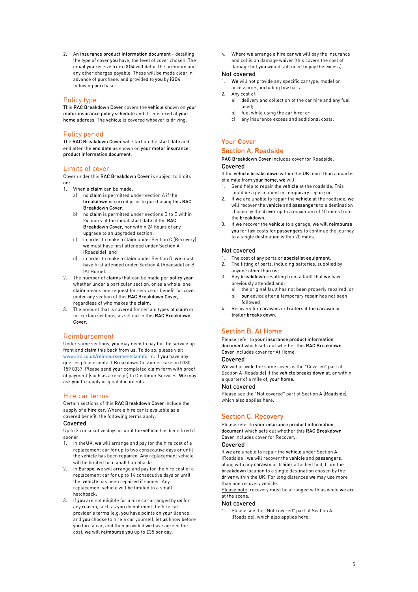2. An insurance product information document - detailing the type of cover you have, the level of cover chosen. The email you receive from iGO4 will detail the premium and any other charges payable. These will be made clear in advance of purchase, and provided to you by iGO4 following purchase.

# Policy type

This RAC Breakdown Cover covers the vehicle shown on your motor insurance policy schedule and if registered at your home address. The vehicle is covered whoever is driving.

# Policy period

The RAC Breakdown Cover will start on the start date and end after the end date as shown on your motor insurance product information document.

# Limits of cover

Cover under this RAC Breakdown Cover is subject to limits on:

- 1. When a claim can be made:
	- a) no claim is permitted under section A if the breakdown occurred prior to purchasing this RAC Breakdown Cover;
	- b) no claim is permitted under sections B to E within 24 hours of the initial start date of the RAC Breakdown Cover, nor within 24 hours of any upgrade to an upgraded section;
	- c) in order to make a claim under Section C (Recovery) we must have first attended under Section A (Roadside); and
	- in order to make a claim under Section D, we must have first attended under Section A (Roadside) or B (At Home).
- 2. The number of claims that can be made per policy year whether under a particular section, or as a whole, one claim means one request for service or benefit for cover under any section of this RAC Breakdown Cover, regardless of who makes the claim;
- 3. The amount that is covered for certain types of claim or for certain sections, as set out in this RAC Breakdown Cover.

# Reimbursement

Under some sections, you may need to pay for the service up front and claim this back from us. To do so, please visit www.rac.co.uk/reimbursementclaimform. If you have any queries please contact Breakdown Customer care on 0330 159 0337. Please send your completed claim form with proof of payment (such as a receipt) to Customer Services. We may ask you to supply original documents.

### Hire car terms

Certain sections of this RAC Breakdown Cover include the supply of a hire car. Where a hire car is available as a covered benefit, the following terms apply:

### Covered

Up to 2 consecutive days or until the vehicle has been fixed if sooner.

- 1. In theUK, we will arrange and pay for the hire cost of a replacement car for up to two consecutive days or until the vehicle has been repaired. Any replacement vehicle will be limited to a small hatchback;
- 2. In Europe, we will arrange and pay for the hire cost of a replacement car for up to 14 consecutive days or until the vehicle has been repaired if sooner. Any replacement vehicle will be limited to a small hatchback;
- 3. If you are not eligible for a hire car arranged by us for any reason, such as you do not meet the hire car provider's terms (e.g. you have points on your licence), and you choose to hire a car yourself, let us know before you hire a car, and then provided we have agreed the cost, we will reimburse you up to £35 per day;

4. Where we arrange a hire car we will pay the insurance and collision damage waiver (this covers the cost of damage but you would still need to pay the excess).

# Not covered

- 1. We will not provide any specific car type, model or accessories, including tow bars.
- 2. Any cost of:
	- a) delivery and collection of the car hire and any fuel used;
	- b) fuel while using the car hire; or
	- c) any insurance excess and additional costs.

# Your Cover

# Section A. Roadside RAC Breakdown Cover includes cover for Roadside.

# Covered

If the vehicle breaks down within the UK more than a quarter of a mile from your home, we will:

- Send help to repair the vehicle at the roadside. This could be a permanent or temporary repair; or
- 2. If we are unable to repair the vehicle at the roadside, we will recover the vehicle and passengers to a destination chosen by the driver up to a maximum of 10 miles from the breakdown;
- 3. If we recover the vehicle to a garage, we will reimburse you for taxi costs for passengers to continue the journey to a single destination within 20 miles.

# Not covered

- 1. The cost of any parts or **specialist equipment**;<br>2. The fitting of parts, including batteries, supplies
- The fitting of parts, including batteries, supplied by anyone other than us;
- Any breakdown resulting from a fault that we have previously attended and:
	- a) the original fault has not been properly repaired; or b) our advice after a temporary repair has not been followed;
- 4. Recovery for caravans or trailers if the caravan or trailer breaks down.

# Section B. At Home

Please refer to your insurance product information document which sets out whether this RAC Breakdown Cover includes cover for At Home.

# Covered

We will provide the same cover as the "Covered" part of Section A (Roadside) if the vehicle breaks down at, or within a quarter of a mile of, your home.

### Not covered

Please see the "Not covered" part of Section A (Roadside), which also applies here.

# Section C. Recovery

Please refer to your insurance product information document which sets out whether this RAC Breakdown Cover includes cover for Recovery.

# Covered

If we are unable to repair the vehicle under Section A (Roadside), we will recover the vehicle and passengers, along with any caravan or trailer attached to it, from the breakdown location to a single destination chosen by the driver within the UK. For long distances we may use more than one recovery vehicle.

Please note: recovery must be arranged with us while we are at the scene.

### Not covered

Please see the "Not covered" part of Section A (Roadside), which also applies here;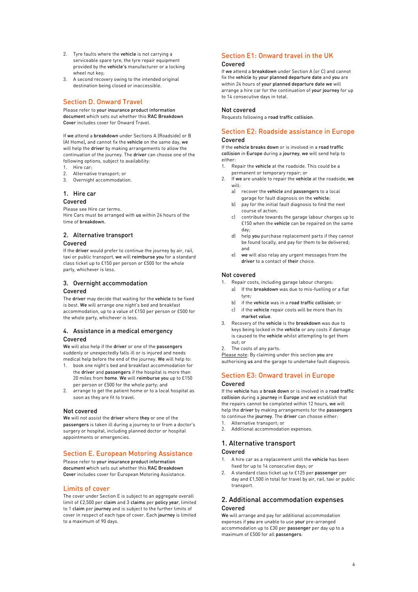- 2. Tyre faults where the vehicle is not carrying a serviceable spare tyre, the tyre repair equipment provided by the vehicle's manufacturer or a locking wheel nut key;
- 3. A second recovery owing to the intended original destination being closed or inaccessible.

# Section D. Onward Travel

Please refer to your insurance product information document which sets out whether this RAC Breakdown Cover includes cover for Onward Travel.

If we attend a breakdown under Sections A (Roadside) or B (At Home), and cannot fix the vehicle on the same day, we will help the driver by making arrangements to allow the continuation of the journey. The driver can choose one of the following options, subject to availability:

- 1. Hire car;
- 2. Alternative transport; or
- 3. Overnight accommodation.

# 1. Hire car

# Covered

Please see Hire car terms. Hire Cars must be arranged with us within 24 hours of the time of breakdown.

# 2. Alternative transport

# Covered

If the driver would prefer to continue the journey by air, rail, taxi or public transport, we will reimburse you for a standard class ticket up to £150 per person or £500 for the whole party, whichever is less.

# 3. Overnight accommodation Covered

The driver may decide that waiting for the vehicle to be fixed is best. We will arrange one night's bed and breakfast accommodation, up to a value of £150 per person or £500 for the whole party, whichever is less.

# 4. Assistance in a medical emergency Covered

We will also help if the driver or one of the passengers suddenly or unexpectedly falls ill or is injured and needs medical help before the end of the journey. We will help to:

- 1. book one night's bed and breakfast accommodation for the driver and passengers if the hospital is more than 20 miles from home. We will reimburse you up to £150 per person or £500 for the whole party; and
- arrange to get the patient home or to a local hospital as soon as they are fit to travel.

# Not covered

We will not assist the driver where they or one of the passengers is taken ill during a journey to or from a doctor's surgery or hospital, including planned doctor or hospital appointments or emergencies.

# Section E. European Motoring Assistance

Please refer to your insurance product information document which sets out whether this RAC Breakdown Cover includes cover for European Motoring Assistance.

# Limits of cover

The cover under Section E is subject to an aggregate overall limit of £2,500 per claim and 3 claims per policy year, limited to 1 claim per journey and is subject to the further limits of cover in respect of each type of cover. Each journey is limited to a maximum of 90 days.

# Section E1: Onward travel in the UK

# Covered

If we attend a breakdown under Section A (or C) and cannot fix the vehicle by your planned departure date and you are within 24 hours of your planned departure date we will arrange a hire car for the continuation of your journey for up to 14 consecutive days in total.

### Not covered

Requests following a road traffic collision.

# Section E2: Roadside assistance in Europe Covered

If the vehicle breaks down or is involved in a road traffic collision in Europe during a journey, we will send help to either:

- 1. Repair the vehicle at the roadside. This could be a permanent or temporary repair; or
- 2. If we are unable to repair the vehicle at the roadside, we will:
	- a) recover the vehicle and passengers to a local garage for fault diagnosis on the vehicle;
	- b) pay for the initial fault diagnosis to find the next course of action;
	- c) contribute towards the garage labour charges up to £150 when the vehicle can be repaired on the same day;
	- d) help you purchase replacement parts if they cannot be found locally, and pay for them to be delivered; and
	- e) we will also relay any urgent messages from the driver to a contact of their choice.

# Not covered

- 1. Repair costs, including garage labour charges: a) If the breakdown was due to mis-fuelling or a flat
	- tyre; b) if the vehicle was in a road traffic collision; or
	- c) if the vehicle repair costs will be more than its
- market value. 3. Recovery of the vehicle is the breakdown was due to keys being locked in the vehicle or any costs if damage
	- is caused to the vehicle whilst attempting to get them out; or
- 2. The costs of any parts.

Please note: By claiming under this section you are authorising us and the garage to undertake fault diagnosis.

# Section E3: Onward travel in Europe

### Covered

If the vehicle has a break down or is involved in a road traffic collision during a journey in Europe and we establish that the repairs cannot be completed within 12 hours, we will help the driver by making arrangements for the passengers to continue the journey. The driver can choose either:

- 1. Alternative transport; or
- 2. Additional accommodation expenses.
- 1. Alternative transport

# Covered

- 1. A hire car as a replacement until the vehicle has been fixed for up to 14 consecutive days; or
- 2. A standard class ticket up to £125 per passenger per day and £1,500 in total for travel by air, rail, taxi or public transport.

# 2. Additional accommodation expenses Covered

We will arrange and pay for additional accommodation expenses if you are unable to use your pre-arranged accommodation up to £30 per passenger per day up to a maximum of £500 for all passengers.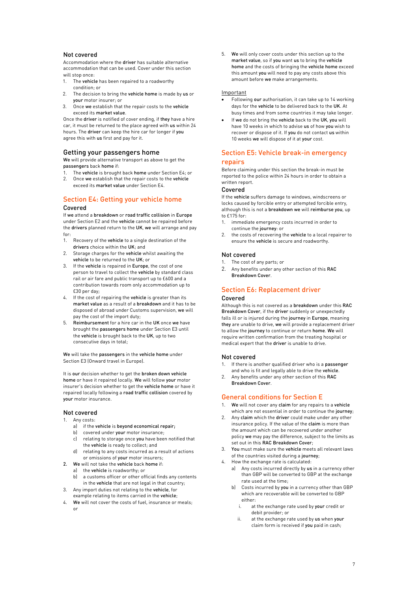# Not covered

Accommodation where the driver has suitable alternative accommodation that can be used. Cover under this section will stop once:

- 1. The vehicle has been repaired to a roadworthy condition; or
- 2. The decision to bring the vehicle home is made by us or your motor insurer; or
- Once we establish that the repair costs to the vehicle exceed its market value.

Once the driver is notified of cover ending, if they have a hire car, it must be returned to the place agreed with us within 24 hours. The driver can keep the hire car for longer if you agree this with us first and pay for it.

# Getting your passengers home

We will provide alternative transport as above to get the passengers back home if:

1. The vehicle is brought back home under Section E4; or

2. Once we establish that the repair costs to the vehicle exceed its market value under Section E4.

# Section E4: Getting your vehicle home Covered

If we attend a breakdown or road traffic collision in Europe under Section E2 and the vehicle cannot be repaired before the drivers planned return to the UK, we will arrange and pay for:

- 1. Recovery of the vehicle to a single destination of the drivers choice within the UK; and
- 2. Storage charges for the vehicle whilst awaiting the vehicle to be returned to the UK; or
- 3. If the vehicle is repaired in Europe, the cost of one person to travel to collect the vehicle by standard class rail or air fare and public transport up to £600 and a contribution towards room only accommodation up to £30 per day;
- 4. If the cost of repairing the vehicle is greater than its market value as a result of a breakdown and it has to be disposed of abroad under Customs supervision, we will pay the cost of the import duty;
- 5. Reimbursement for a hire car in the UK once we have brought the passengers home under Section E3 until the vehicle is brought back to the UK, up to two consecutive days in total;

We will take the passengers in the vehicle home under Section E3 (Onward travel in Europe).

It is our decision whether to get the broken down vehicle home or have it repaired locally. We will follow your motor insurer's decision whether to get the vehicle home or have it repaired locally following a road traffic collision covered by your motor insurance.

# Not covered

- 1. Any costs:
	- a) if the vehicle is beyond economical repair;
	- b) covered under your motor insurance:
	- c) relating to storage once you have been notified that the vehicle is ready to collect; and
	- d) relating to any costs incurred as a result of actions or omissions of your motor insurers;
- 2. We will not take the vehicle back home if:
	- a) the vehicle is roadworthy; or
	- b) a customs officer or other official finds any contents in the vehicle that are not legal in that country;
- 3. Any import duties not relating to the vehicle, for example relating to items carried in the vehicle;
- 4. We will not cover the costs of fuel, insurance or meals; or

5. We will only cover costs under this section up to the market value, so if you want us to bring the vehicle home and the costs of bringing the vehicle home exceed this amount you will need to pay any costs above this amount before we make arrangements.

### Important

- Following our authorisation, it can take up to 14 working days for the vehicle to be delivered back to the UK. At busy times and from some countries it may take longer.
- If we do not bring the vehicle back to the UK, you will have 10 weeks in which to advise us of how you wish to recover or dispose of it. If you do not contact us within 10 weeks we will dispose of it at your cost.

# Section E5: Vehicle break-in emergency repairs

Before claiming under this section the break-in must be reported to the police within 24 hours in order to obtain a written report.

# Covered

If the vehicle suffers damage to windows, windscreens or locks caused by forcible entry or attempted forcible entry, although this is not a breakdown we will reimburse you, up to £175 for:

- 1. immediate emergency costs incurred in order to continue the journey: or
- the costs of recovering the vehicle to a local repairer to ensure the vehicle is secure and roadworthy.

# Not covered

- 1. The cost of any parts; or
- 2. Any benefits under any other section of this RAC Breakdown Cover.

# Section E6: Replacement driver

### Covered

Although this is not covered as a breakdown under this RAC Breakdown Cover, if the driver suddenly or unexpectedly falls ill or is injured during the journey in Europe, meaning they are unable to drive, we will provide a replacement driver to allow the journey to continue or return home. We will require written confirmation from the treating hospital or medical expert that the driver is unable to drive.

# Not covered

- 1. If there is another qualified driver who is a passenger and who is fit and legally able to drive the vehicle.
- 2. Any benefits under any other section of this RAC Breakdown Cover.

# General conditions for Section E

- 1. We will not cover any claim for any repairs to a vehicle which are not essential in order to continue the journey;
- 2. Any claim which the driver could make under any other insurance policy. If the value of the claim is more than the amount which can be recovered under another policy we may pay the difference, subject to the limits as set out in this RAC Breakdown Cover:
- 3. You must make sure the vehicle meets all relevant laws of the countries visited during a journey;
- How the exchange rate is calculated:
	- a) Any costs incurred directly by us in a currency other than GBP will be converted to GBP at the exchange rate used at the time;
	- Costs incurred by you in a currency other than GBP which are recoverable will be converted to GBP either:
		- i. at the exchange rate used by your credit or debit provider; or
		- at the exchange rate used by us when your claim form is received if you paid in cash;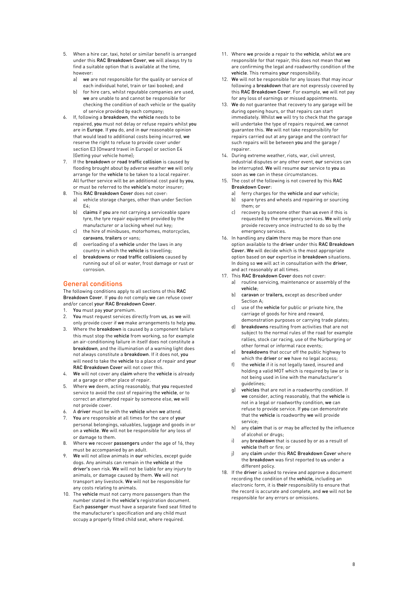- 5. When a hire car, taxi, hotel or similar benefit is arranged under this RAC Breakdown Cover, we will always try to find a suitable option that is available at the time, however:
	- a) we are not responsible for the quality or service of each individual hotel, train or taxi booked; and
	- b) for hire cars, whilst reputable companies are used, we are unable to and cannot be responsible for checking the condition of each vehicle or the quality of service provided by each company;
- 6. If, following a breakdown, the vehicle needs to be repaired, you must not delay or refuse repairs whilst you are in Europe. If you do, and in our reasonable opinion that would lead to additional costs being incurred, we reserve the right to refuse to provide cover under section E3 (Onward travel in Europe) or section E4 (Getting your vehicle home);
- 7. If the breakdown or road traffic collision is caused by flooding brought about by adverse weather we will only arrange for the vehicle to be taken to a local repairer. All further service will be an additional cost paid by you, or must be referred to the vehicle's motor insurer;
- 8. This RAC Breakdown Cover does not cover:
	- a) vehicle storage charges, other than under Section  $FA.$
	- b) claims if you are not carrying a serviceable spare tyre, the tyre repair equipment provided by the manufacturer or a locking wheel nut key;
	- c) the hire of minibuses, motorhomes, motorcycles, caravans, trailers or vans;
	- d) overloading of a vehicle under the laws in any country in which the vehicle is travelling;
	- e) breakdowns or road traffic collisions caused by running out of oil or water, frost damage or rust or corrosion.

# General conditions

The following conditions apply to all sections of this RAC Breakdown Cover. If you do not comply we can refuse cover and/or cancel your RAC Breakdown Cover.

- 1. You must pay your premium.
- 2. You must request services directly from us, as we will only provide cover if we make arrangements to help you.
- 3. Where the breakdown is caused by a component failure this must stop the vehicle from working, so for example an air-conditioning failure in itself does not constitute a breakdown, and the illumination of a warning light does not always constitute a breakdown. If it does not, you will need to take the vehicle to a place of repair and your RAC Breakdown Cover will not cover this.
- 4. We will not cover any claim where the vehicle is already at a garage or other place of repair.
- 5. Where we deem, acting reasonably, that you requested service to avoid the cost of repairing the vehicle, or to correct an attempted repair by someone else, we will not provide cover.
- 6. A driver must be with the vehicle when we attend.
- 7. You are responsible at all times for the care of your personal belongings, valuables, luggage and goods in or on a vehicle. We will not be responsible for any loss of or damage to them.
- 8. Where we recover passengers under the age of 16, they must be accompanied by an adult.
- We will not allow animals in our vehicles, except quide dogs. Any animals can remain in the vehicle at the driver's own risk. We will not be liable for any injury to animals, or damage caused by them. We will not transport any livestock. We will not be responsible for any costs relating to animals.
- 10. The vehicle must not carry more passengers than the number stated in the vehicle's registration document. Each passenger must have a separate fixed seat fitted to the manufacturer's specification and any child must occupy a properly fitted child seat, where required.
- 11. Where we provide a repair to the vehicle, whilst we are responsible for that repair, this does not mean that we are confirming the legal and roadworthy condition of the vehicle. This remains your responsibility.
- 12. We will not be responsible for any losses that may incur following a breakdown that are not expressly covered by this RAC Breakdown Cover. For example, we will not pay for any loss of earnings or missed appointments.
- 13. We do not guarantee that recovery to any garage will be during opening hours, or that repairs can start immediately. Whilst we will try to check that the garage will undertake the type of repairs required, we cannot guarantee this. We will not take responsibility for repairs carried out at any garage and the contract for such repairs will be between you and the garage / repairer.
- 14. During extreme weather, riots, war, civil unrest, industrial disputes or any other event, our services can be interrupted. We will resume our service to you as soon as we can in these circumstances.
- 15. The cost of the following is not covered by this RAC Breakdown Cover:
	- a) ferry charges for the vehicle and our vehicle;
	- b) spare tyres and wheels and repairing or sourcing them; or
	- c) recovery by someone other than us even if this is requested by the emergency services. We will only provide recovery once instructed to do so by the emergency services.
- 16. In handling any claim there may be more than one option available to the driver under this RAC Breakdown Cover. We will decide which is the most appropriate option based on our expertise in breakdown situations. In doing so we will act in consultation with the driver, and act reasonably at all times.
- 17. This RAC Breakdown Cover does not cover:
	- a) routine servicing, maintenance or assembly of the vehicle;
	- b) caravan or trailers, except as described under Section A;
	- c) use of the vehicle for public or private hire, the carriage of goods for hire and reward, demonstration purposes or carrying trade plates;
	- d) breakdowns resulting from activities that are not subject to the normal rules of the road for example rallies, stock car racing, use of the Nürburgring or other formal or informal race events;
	- e) breakdowns that occur off the public highway to which the driver or we have no legal access;
	- f) the vehicle if it is not legally taxed, insured and holding a valid MOT which is required by law or is not being used in line with the manufacturer's guidelines;
	- g) vehicles that are not in a roadworthy condition. If we consider, acting reasonably, that the vehicle is not in a legal or roadworthy condition, we can refuse to provide service. If you can demonstrate that the vehicle is roadworthy we will provide service;
	- h) any claim that is or may be affected by the influence of alcohol or drugs;
	- any **breakdown** that is caused by or as a result of vehicle theft or fire; or
	- i) any claim under this RAC Breakdown Cover where the breakdown was first reported to us under a different policy.
- 18. If the driver is asked to review and approve a document recording the condition of the vehicle, including an electronic form, it is their responsibility to ensure that the record is accurate and complete, and we will not be responsible for any errors or omissions.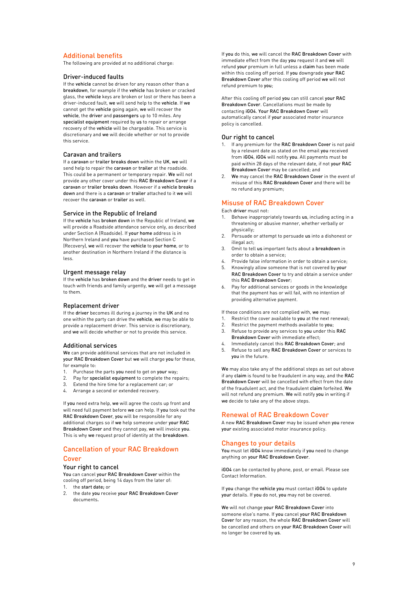# Additional benefits

The following are provided at no additional charge:

# Driver-induced faults

If the vehicle cannot be driven for any reason other than a breakdown, for example if the vehicle has broken or cracked glass, the vehicle keys are broken or lost or there has been a driver-induced fault, we will send help to the vehicle. If we cannot get the vehicle going again, we will recover the vehicle, the driver and passengers up to 10 miles. Any specialist equipment required by us to repair or arrange recovery of the vehicle will be chargeable. This service is discretionary and we will decide whether or not to provide this service.

# Caravan and trailers

If a caravan or trailer breaks down within the UK, we will send help to repair the caravan or trailer at the roadside. This could be a permanent or temporary repair. We will not provide any other cover under this RAC Breakdown Cover if a caravan or trailer breaks down. However if a vehicle breaks down and there is a caravan or trailer attached to it we will recover the caravan or trailer as well.

### Service in the Republic of Ireland

If the vehicle has broken down in the Republic of Ireland, we will provide a Roadside attendance service only, as described under Section A (Roadside). If your home address is in Northern Ireland and you have purchased Section C (Recovery), we will recover the vehicle to your home, or to another destination in Northern Ireland if the distance is less.

# Urgent message relay

If the vehicle has broken down and the driver needs to get in touch with friends and family urgently, we will get a message to them.

# Replacement driver

If the driver becomes ill during a journey in the UK and no one within the party can drive the vehicle, we may be able to provide a replacement driver. This service is discretionary, and we will decide whether or not to provide this service.

### Additional services

We can provide additional services that are not included in your RAC Breakdown Cover but we will charge you for these, for example to:

- 1. Purchase the parts you need to get on your way;
- 2. Pay for specialist equipment to complete the repairs;
- 3. Extend the hire time for a replacement car; or
- 4. Arrange a second or extended recovery.

If you need extra help, we will agree the costs up front and will need full payment before we can help. If you took out the RAC Breakdown Cover, you will be responsible for any additional charges so if we help someone under your RAC Breakdown Cover and they cannot pay, we will invoice you. This is why we request proof of identity at the breakdown.

# Cancellation of your RAC Breakdown Cover

### Your right to cancel

You can cancel your RAC Breakdown Cover within the cooling off period, being 14 days from the later of:

- 1. the start date; or
- 2. the date you receive your RAC Breakdown Cover documents.

If you do this, we will cancel the RAC Breakdown Cover with immediate effect from the day you request it and we will refund your premium in full unless a claim has been made within this cooling off period. If you downgrade your RAC Breakdown Cover after this cooling off period we will not refund premium to you;

After this cooling off period you can still cancel your RAC Breakdown Cover. Cancellations must be made by contacting iGO4. Your RAC Breakdown Cover will automatically cancel if your associated motor insurance policy is cancelled.

### Our right to cancel

- 1. If any premium for the RAC Breakdown Cover is not paid by a relevant date as stated on the email you received from iGO4, iGO4 will notify you. All payments must be paid within 28 days of the relevant date, if not your RAC Breakdown Cover may be cancelled; and
- 2. We may cancel the RAC Breakdown Cover in the event of misuse of this RAC Breakdown Cover and there will be no refund any premium;

# Misuse of RAC Breakdown Cover

Each driver must not:

- Behave inappropriately towards us, including acting in a threatening or abusive manner, whether verbally or physically;
- 2. Persuade or attempt to persuade us into a dishonest or illegal act;
- 3. Omit to tell us important facts about a breakdown in order to obtain a service;
- 4. Provide false information in order to obtain a service;
- 5. Knowingly allow someone that is not covered by your RAC Breakdown Cover to try and obtain a service under this RAC Breakdown Cover;
- 6. Pay for additional services or goods in the knowledge that the payment has or will fail, with no intention of providing alternative payment.

If these conditions are not complied with, we may:

- 1. Restrict the cover available to you at the next renewal;
- 2. Restrict the payment methods available to you;
- 3. Refuse to provide any services to you under this RAC Breakdown Cover with immediate effect;
- 4. Immediately cancel this RAC Breakdown Cover; and<br>5. Refuse to sell any RAC Breakdown Cover or services Refuse to sell any RAC Breakdown Cover or services to you in the future.

We may also take any of the additional steps as set out above if any claim is found to be fraudulent in any way, and the RAC Breakdown Cover will be cancelled with effect from the date of the fraudulent act, and the fraudulent claim forfeited. We will not refund any premium. We will notify you in writing if we decide to take any of the above steps.

### Renewal of RAC Breakdown Cover

A new RAC Breakdown Cover may be issued when you renew your existing associated motor insurance policy.

### Changes to your details

You must let iGO4 know immediately if you need to change anything on your RAC Breakdown Cover.

iGO4 can be contacted by phone, post, or email. Please see Contact Information.

If you change the vehicle you must contact iGO4 to update your details. If you do not, you may not be covered.

We will not change your RAC Breakdown Cover into someone else's name. If you cancel your RAC Breakdown Cover for any reason, the whole RAC Breakdown Cover will be cancelled and others on your RAC Breakdown Cover will no longer be covered by us.